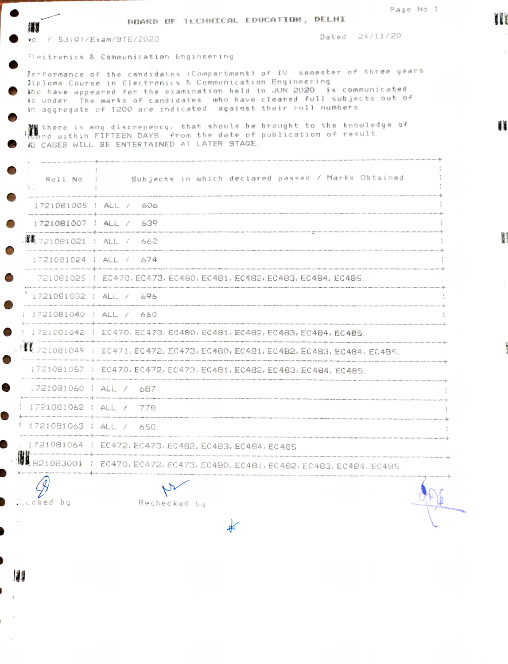|                                  | BDARD OF RECHNICAL EDUCATION, DELHI                                                                                                                       | Page No. 1                                                                                                                                                                                                                     |
|----------------------------------|-----------------------------------------------------------------------------------------------------------------------------------------------------------|--------------------------------------------------------------------------------------------------------------------------------------------------------------------------------------------------------------------------------|
| 精神<br>vo. F. 53(G)/Exam/BTE/2020 |                                                                                                                                                           | Dated : 24/11/20                                                                                                                                                                                                               |
|                                  | Flectronics & Communication Engineering                                                                                                                   |                                                                                                                                                                                                                                |
|                                  | >iploma Course in Electronics & Communication Engineering<br>in aggregate of 1200 are indicated against their roll numbers.                               | Performance of the candidates (Compartment) of IV semester of three years<br>tho have appeared for the examination held in JUN 2020 is communicated<br>is under. The marks of candidates who have cleared full subjects out of |
|                                  | and within FIFTEEN DAYS. from the date of publication of result.<br>IC CASES WILL BE ENTERTAINED AT LATER STAGE.                                          | there is any discrepency, that should be brought to the knowledge of                                                                                                                                                           |
|                                  |                                                                                                                                                           | .<br>And will pay and we have the state of the contract of the state of the state of the state of the state of the<br>Roll No : Subjects in which declared passed / Marks Obtained                                             |
|                                  | 1721081005   ALL / 606                                                                                                                                    |                                                                                                                                                                                                                                |
|                                  | 1721081007   ALL / 639                                                                                                                                    |                                                                                                                                                                                                                                |
|                                  | 講義 721081021 + ALL / 662                                                                                                                                  |                                                                                                                                                                                                                                |
|                                  | 1721081024   ALL / 674                                                                                                                                    |                                                                                                                                                                                                                                |
|                                  | tion area was new one class offer new with was used and area and with the term in<br>.721081025   EC470, EC473, EC480, EC481, EC482, EC483, EC484, EC485. |                                                                                                                                                                                                                                |
|                                  | 1721081032   ALL / 696                                                                                                                                    |                                                                                                                                                                                                                                |
| : 1721081040 : ALL / 660         |                                                                                                                                                           |                                                                                                                                                                                                                                |
|                                  | 1 1721081042 1 EC470, EC473, EC480, EC481, EC482, EC483, EC484, EC485.                                                                                    | THE STILL WAS STED FOR THE WAS STED FOR THE WAS CITED FOR THE FORE FOR THE WAS FOR THE FORE FOR THE WAS FOR THE WAS FOR THE WAS FOR THE WAS FIRE WAS FOR THE WAS FOR THE WAS FOR THE WAS FOR THE WAS FOR THE WAS FOR THE WAS F |
|                                  |                                                                                                                                                           | ↓ <sup>※</sup> 【【 721081049   EC471, EC472, EC473, EC480, EC481, EC482, EC483, EC484, EC485.                                                                                                                                   |
|                                  | 1721081057   EC470, EC472, EC473, EC481, EC482, EC483, EC484, EC485.                                                                                      |                                                                                                                                                                                                                                |
| 1721081060   ALL / 687           |                                                                                                                                                           |                                                                                                                                                                                                                                |
| 1721081062 : ALL / 778           |                                                                                                                                                           |                                                                                                                                                                                                                                |
| 1721081063   ALL / 650           |                                                                                                                                                           |                                                                                                                                                                                                                                |
|                                  | 1721081064   EC472, EC473, EC482, EC483, EC484, EC485.                                                                                                    | .<br>Also available uses were were easy court court were twice once some empt then from them ones come been seem were report them and their econ court chick most world chick mon- where court                                 |
|                                  |                                                                                                                                                           | 1083001   EC470, EC472, EC473, EC480, EC481, EC482, EC483, EC484, EC485.                                                                                                                                                       |
| DU.                              | Rechecked by                                                                                                                                              |                                                                                                                                                                                                                                |
|                                  |                                                                                                                                                           |                                                                                                                                                                                                                                |

ľ